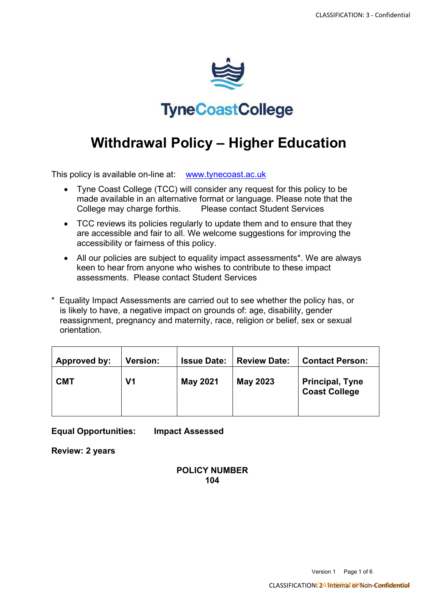

## **TyneCoastCollege**

# **Withdrawal Policy – Higher Education**

This policy is available on-line at: [www.tynecoast.ac.uk](http://www.tynecoast.ac.uk/)

- Tyne Coast College (TCC) will consider any request for this policy to be made available in an alternative format or language. Please note that the College may charge forthis. Please contact Student Services
- TCC reviews its policies regularly to update them and to ensure that they are accessible and fair to all. We welcome suggestions for improving the accessibility or fairness of this policy.
- All our policies are subject to equality impact assessments\*. We are always keen to hear from anyone who wishes to contribute to these impact assessments. Please contact Student Services
- \* Equality Impact Assessments are carried out to see whether the policy has, or is likely to have, a negative impact on grounds of: age, disability, gender reassignment, pregnancy and maternity, race, religion or belief, sex or sexual orientation.

| Approved by: | <b>Version:</b> | <b>Issue Date:</b> | <b>Review Date:</b> | <b>Contact Person:</b>                         |
|--------------|-----------------|--------------------|---------------------|------------------------------------------------|
| <b>CMT</b>   | V1              | <b>May 2021</b>    | <b>May 2023</b>     | <b>Principal, Tyne</b><br><b>Coast College</b> |

**Equal Opportunities: Impact Assessed**

**Review: 2 years**

## **POLICY NUMBER 104**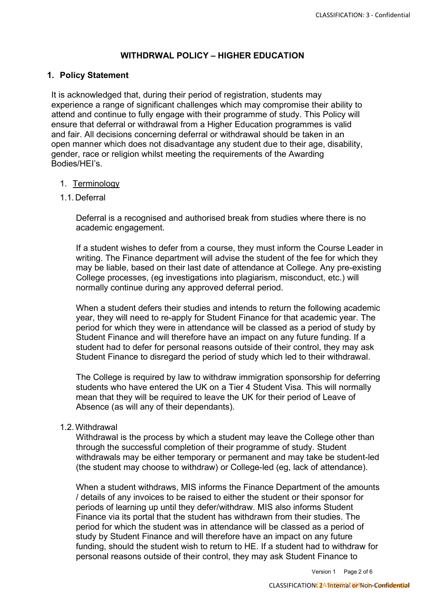## **WITHDRWAL POLICY – HIGHER EDUCATION**

## **1. Policy Statement**

It is acknowledged that, during their period of registration, students may experience a range of significant challenges which may compromise their ability to attend and continue to fully engage with their programme of study. This Policy will ensure that deferral or withdrawal from a Higher Education programmes is valid and fair. All decisions concerning deferral or withdrawal should be taken in an open manner which does not disadvantage any student due to their age, disability, gender, race or religion whilst meeting the requirements of the Awarding Bodies/HEI's.

#### 1. Terminology

#### 1.1.Deferral

Deferral is a recognised and authorised break from studies where there is no academic engagement.

If a student wishes to defer from a course, they must inform the Course Leader in writing. The Finance department will advise the student of the fee for which they may be liable, based on their last date of attendance at College. Any pre-existing College processes, (eg investigations into plagiarism, misconduct, etc.) will normally continue during any approved deferral period.

When a student defers their studies and intends to return the following academic year, they will need to re-apply for Student Finance for that academic year. The period for which they were in attendance will be classed as a period of study by Student Finance and will therefore have an impact on any future funding. If a student had to defer for personal reasons outside of their control, they may ask Student Finance to disregard the period of study which led to their withdrawal.

The College is required by law to withdraw immigration sponsorship for deferring students who have entered the UK on a Tier 4 Student Visa. This will normally mean that they will be required to leave the UK for their period of Leave of Absence (as will any of their dependants).

## 1.2.Withdrawal

Withdrawal is the process by which a student may leave the College other than through the successful completion of their programme of study. Student withdrawals may be either temporary or permanent and may take be student-led (the student may choose to withdraw) or College-led (eg, lack of attendance).

When a student withdraws, MIS informs the Finance Department of the amounts / details of any invoices to be raised to either the student or their sponsor for periods of learning up until they defer/withdraw. MIS also informs Student Finance via its portal that the student has withdrawn from their studies. The period for which the student was in attendance will be classed as a period of study by Student Finance and will therefore have an impact on any future funding, should the student wish to return to HE. If a student had to withdraw for personal reasons outside of their control, they may ask Student Finance to

Version 1 Page 2 of 6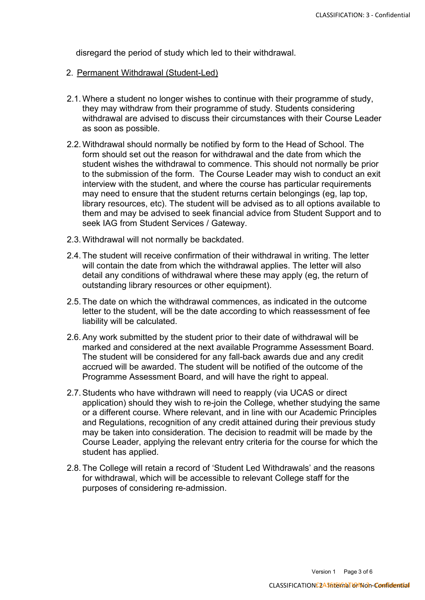disregard the period of study which led to their withdrawal.

- 2. Permanent Withdrawal (Student-Led)
- 2.1.Where a student no longer wishes to continue with their programme of study, they may withdraw from their programme of study. Students considering withdrawal are advised to discuss their circumstances with their Course Leader as soon as possible.
- 2.2.Withdrawal should normally be notified by form to the Head of School. The form should set out the reason for withdrawal and the date from which the student wishes the withdrawal to commence. This should not normally be prior to the submission of the form. The Course Leader may wish to conduct an exit interview with the student, and where the course has particular requirements may need to ensure that the student returns certain belongings (eg, lap top, library resources, etc). The student will be advised as to all options available to them and may be advised to seek financial advice from Student Support and to seek IAG from Student Services / Gateway.
- 2.3.Withdrawal will not normally be backdated.
- 2.4. The student will receive confirmation of their withdrawal in writing. The letter will contain the date from which the withdrawal applies. The letter will also detail any conditions of withdrawal where these may apply (eg, the return of outstanding library resources or other equipment).
- 2.5. The date on which the withdrawal commences, as indicated in the outcome letter to the student, will be the date according to which reassessment of fee liability will be calculated.
- 2.6.Any work submitted by the student prior to their date of withdrawal will be marked and considered at the next available Programme Assessment Board. The student will be considered for any fall-back awards due and any credit accrued will be awarded. The student will be notified of the outcome of the Programme Assessment Board, and will have the right to appeal.
- 2.7.Students who have withdrawn will need to reapply (via UCAS or direct application) should they wish to re-join the College, whether studying the same or a different course. Where relevant, and in line with our Academic Principles and Regulations, recognition of any credit attained during their previous study may be taken into consideration. The decision to readmit will be made by the Course Leader, applying the relevant entry criteria for the course for which the student has applied.
- 2.8. The College will retain a record of 'Student Led Withdrawals' and the reasons for withdrawal, which will be accessible to relevant College staff for the purposes of considering re-admission.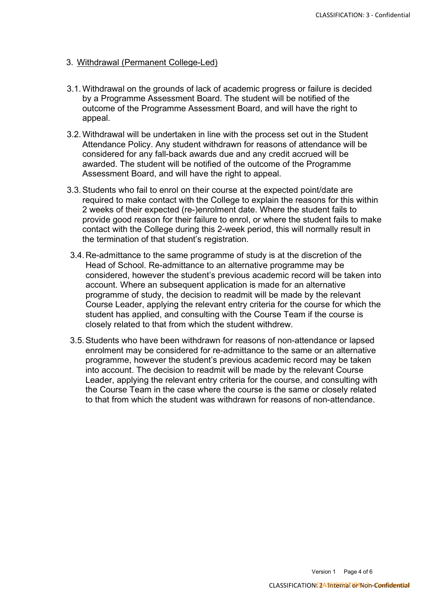#### 3. Withdrawal (Permanent College-Led)

- 3.1.Withdrawal on the grounds of lack of academic progress or failure is decided by a Programme Assessment Board. The student will be notified of the outcome of the Programme Assessment Board, and will have the right to appeal.
- 3.2.Withdrawal will be undertaken in line with the process set out in the Student Attendance Policy. Any student withdrawn for reasons of attendance will be considered for any fall-back awards due and any credit accrued will be awarded. The student will be notified of the outcome of the Programme Assessment Board, and will have the right to appeal.
- 3.3.Students who fail to enrol on their course at the expected point/date are required to make contact with the College to explain the reasons for this within 2 weeks of their expected (re-)enrolment date. Where the student fails to provide good reason for their failure to enrol, or where the student fails to make contact with the College during this 2-week period, this will normally result in the termination of that student's registration.
- 3.4.Re-admittance to the same programme of study is at the discretion of the Head of School. Re-admittance to an alternative programme may be considered, however the student's previous academic record will be taken into account. Where an subsequent application is made for an alternative programme of study, the decision to readmit will be made by the relevant Course Leader, applying the relevant entry criteria for the course for which the student has applied, and consulting with the Course Team if the course is closely related to that from which the student withdrew.
- 3.5.Students who have been withdrawn for reasons of non-attendance or lapsed enrolment may be considered for re-admittance to the same or an alternative programme, however the student's previous academic record may be taken into account. The decision to readmit will be made by the relevant Course Leader, applying the relevant entry criteria for the course, and consulting with the Course Team in the case where the course is the same or closely related to that from which the student was withdrawn for reasons of non-attendance.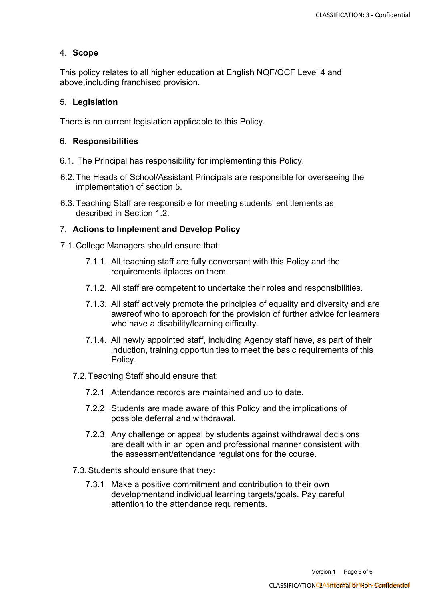## 4. **Scope**

This policy relates to all higher education at English NQF/QCF Level 4 and above,including franchised provision.

#### 5. **Legislation**

There is no current legislation applicable to this Policy.

#### 6. **Responsibilities**

- 6.1. The Principal has responsibility for implementing this Policy.
- 6.2. The Heads of School/Assistant Principals are responsible for overseeing the implementation of section 5.
- 6.3. Teaching Staff are responsible for meeting students' entitlements as described in Section 1.2.

#### 7. **Actions to Implement and Develop Policy**

- 7.1. College Managers should ensure that:
	- 7.1.1. All teaching staff are fully conversant with this Policy and the requirements itplaces on them.
	- 7.1.2. All staff are competent to undertake their roles and responsibilities.
	- 7.1.3. All staff actively promote the principles of equality and diversity and are awareof who to approach for the provision of further advice for learners who have a disability/learning difficulty.
	- 7.1.4. All newly appointed staff, including Agency staff have, as part of their induction, training opportunities to meet the basic requirements of this Policy.
	- 7.2.Teaching Staff should ensure that:
		- 7.2.1 Attendance records are maintained and up to date.
		- 7.2.2 Students are made aware of this Policy and the implications of possible deferral and withdrawal.
		- 7.2.3 Any challenge or appeal by students against withdrawal decisions are dealt with in an open and professional manner consistent with the assessment/attendance regulations for the course.
	- 7.3.Students should ensure that they:
		- 7.3.1 Make a positive commitment and contribution to their own developmentand individual learning targets/goals. Pay careful attention to the attendance requirements.